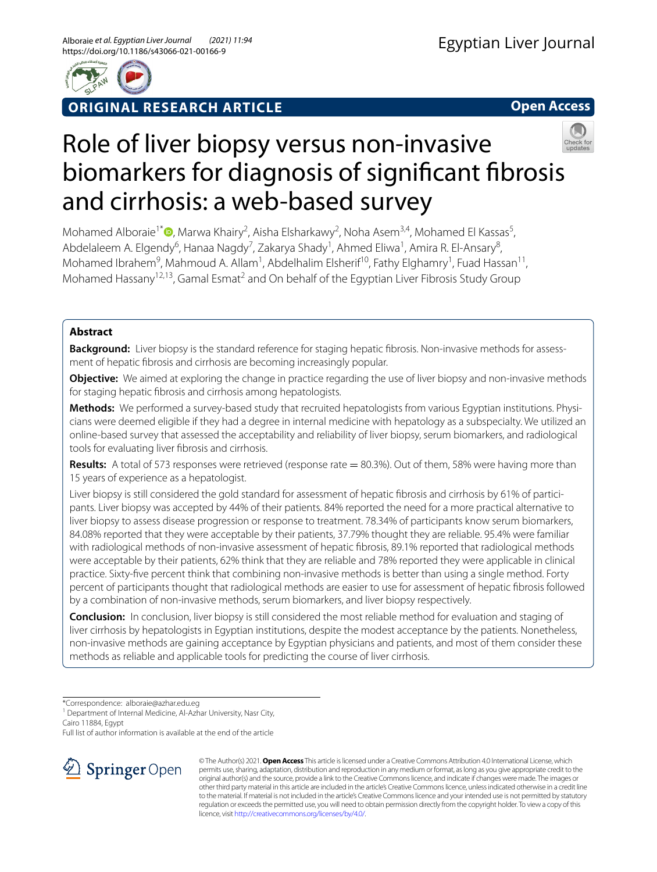

**ORIGINAL RESEARCH ARTICLE**

**Open Access**

# Role of liver biopsy versus non-invasive biomarkers for diagnosis of signifcant fbrosis and cirrhosis: a web-based survey

Mohamed Alboraie<sup>1\*</sup><sup>®</sup>[,](http://orcid.org/0000-0002-8490-9822) Marwa Khairy<sup>2</sup>, Aisha Elsharkawy<sup>2</sup>, Noha Asem<sup>3,4</sup>, Mohamed El Kassas<sup>5</sup>, Abdelaleem A. Elgendy<sup>6</sup>, Hanaa Nagdy<sup>7</sup>, Zakarya Shady<sup>1</sup>, Ahmed Eliwa<sup>1</sup>, Amira R. El-Ansary<sup>8</sup>, Mohamed Ibrahem<sup>9</sup>, Mahmoud A. Allam<sup>1</sup>, Abdelhalim Elsherif<sup>10</sup>, Fathy Elghamry<sup>1</sup>, Fuad Hassan<sup>11</sup>, Mohamed Hassany<sup>12,13</sup>, Gamal Esmat<sup>2</sup> and On behalf of the Egyptian Liver Fibrosis Study Group

# **Abstract**

Background: Liver biopsy is the standard reference for staging hepatic fibrosis. Non-invasive methods for assessment of hepatic fbrosis and cirrhosis are becoming increasingly popular.

**Objective:** We aimed at exploring the change in practice regarding the use of liver biopsy and non-invasive methods for staging hepatic fbrosis and cirrhosis among hepatologists.

Methods: We performed a survey-based study that recruited hepatologists from various Egyptian institutions. Physicians were deemed eligible if they had a degree in internal medicine with hepatology as a subspecialty. We utilized an online-based survey that assessed the acceptability and reliability of liver biopsy, serum biomarkers, and radiological tools for evaluating liver fbrosis and cirrhosis.

**Results:** A total of 573 responses were retrieved (response rate = 80.3%). Out of them, 58% were having more than 15 years of experience as a hepatologist.

Liver biopsy is still considered the gold standard for assessment of hepatic fibrosis and cirrhosis by 61% of participants. Liver biopsy was accepted by 44% of their patients. 84% reported the need for a more practical alternative to liver biopsy to assess disease progression or response to treatment. 78.34% of participants know serum biomarkers, 84.08% reported that they were acceptable by their patients, 37.79% thought they are reliable. 95.4% were familiar with radiological methods of non-invasive assessment of hepatic fbrosis, 89.1% reported that radiological methods were acceptable by their patients, 62% think that they are reliable and 78% reported they were applicable in clinical practice. Sixty-fve percent think that combining non-invasive methods is better than using a single method. Forty percent of participants thought that radiological methods are easier to use for assessment of hepatic fbrosis followed by a combination of non-invasive methods, serum biomarkers, and liver biopsy respectively.

**Conclusion:** In conclusion, liver biopsy is still considered the most reliable method for evaluation and staging of liver cirrhosis by hepatologists in Egyptian institutions, despite the modest acceptance by the patients. Nonetheless, non-invasive methods are gaining acceptance by Egyptian physicians and patients, and most of them consider these methods as reliable and applicable tools for predicting the course of liver cirrhosis.

\*Correspondence: alboraie@azhar.edu.eg

<sup>1</sup> Department of Internal Medicine, Al-Azhar University, Nasr City,

Cairo 11884, Egypt

Full list of author information is available at the end of the article



© The Author(s) 2021. **Open Access** This article is licensed under a Creative Commons Attribution 4.0 International License, which permits use, sharing, adaptation, distribution and reproduction in any medium or format, as long as you give appropriate credit to the original author(s) and the source, provide a link to the Creative Commons licence, and indicate if changes were made. The images or other third party material in this article are included in the article's Creative Commons licence, unless indicated otherwise in a credit line to the material. If material is not included in the article's Creative Commons licence and your intended use is not permitted by statutory regulation or exceeds the permitted use, you will need to obtain permission directly from the copyright holder. To view a copy of this licence, visit [http://creativecommons.org/licenses/by/4.0/.](http://creativecommons.org/licenses/by/4.0/)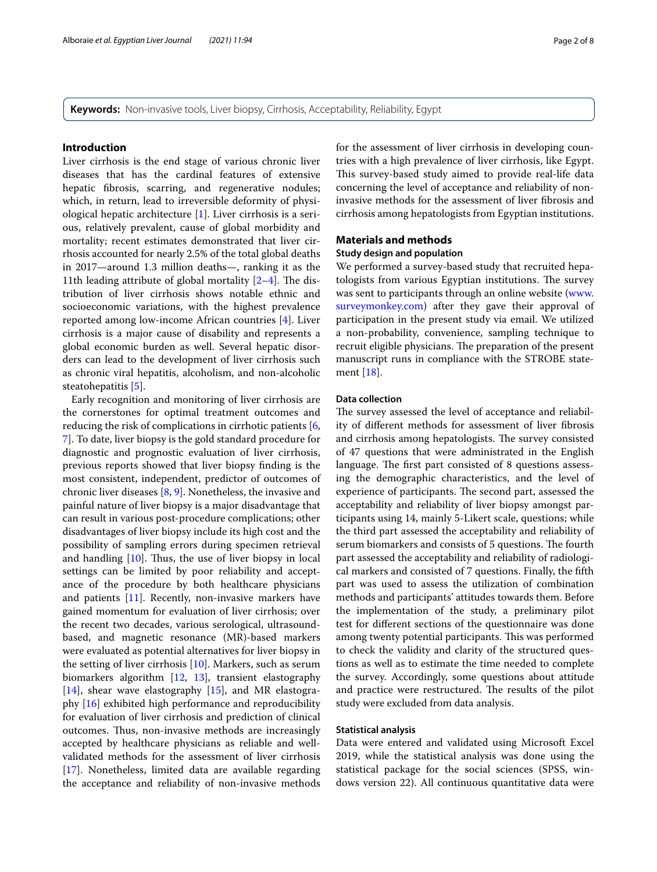**Keywords:** Non-invasive tools, Liver biopsy, Cirrhosis, Acceptability, Reliability, Egypt

## **Introduction**

Liver cirrhosis is the end stage of various chronic liver diseases that has the cardinal features of extensive hepatic fbrosis, scarring, and regenerative nodules; which, in return, lead to irreversible deformity of physiological hepatic architecture [[1\]](#page-7-0). Liver cirrhosis is a serious, relatively prevalent, cause of global morbidity and mortality; recent estimates demonstrated that liver cirrhosis accounted for nearly 2.5% of the total global deaths in 2017—around 1.3 million deaths—, ranking it as the 11th leading attribute of global mortality  $[2-4]$  $[2-4]$ . The distribution of liver cirrhosis shows notable ethnic and socioeconomic variations, with the highest prevalence reported among low-income African countries [\[4](#page-7-2)]. Liver cirrhosis is a major cause of disability and represents a global economic burden as well. Several hepatic disorders can lead to the development of liver cirrhosis such as chronic viral hepatitis, alcoholism, and non-alcoholic steatohepatitis [[5\]](#page-7-3).

Early recognition and monitoring of liver cirrhosis are the cornerstones for optimal treatment outcomes and reducing the risk of complications in cirrhotic patients [\[6](#page-7-4), [7\]](#page-7-5). To date, liver biopsy is the gold standard procedure for diagnostic and prognostic evaluation of liver cirrhosis, previous reports showed that liver biopsy fnding is the most consistent, independent, predictor of outcomes of chronic liver diseases [[8,](#page-7-6) [9\]](#page-7-7). Nonetheless, the invasive and painful nature of liver biopsy is a major disadvantage that can result in various post-procedure complications; other disadvantages of liver biopsy include its high cost and the possibility of sampling errors during specimen retrieval and handling  $[10]$ . Thus, the use of liver biopsy in local settings can be limited by poor reliability and acceptance of the procedure by both healthcare physicians and patients [[11](#page-7-9)]. Recently, non-invasive markers have gained momentum for evaluation of liver cirrhosis; over the recent two decades, various serological, ultrasoundbased, and magnetic resonance (MR)-based markers were evaluated as potential alternatives for liver biopsy in the setting of liver cirrhosis [\[10](#page-7-8)]. Markers, such as serum biomarkers algorithm [[12,](#page-7-10) [13](#page-7-11)], transient elastography [[14\]](#page-7-12), shear wave elastography [[15\]](#page-7-13), and MR elastography [[16\]](#page-7-14) exhibited high performance and reproducibility for evaluation of liver cirrhosis and prediction of clinical outcomes. Thus, non-invasive methods are increasingly accepted by healthcare physicians as reliable and wellvalidated methods for the assessment of liver cirrhosis [[17\]](#page-7-15). Nonetheless, limited data are available regarding the acceptance and reliability of non-invasive methods for the assessment of liver cirrhosis in developing countries with a high prevalence of liver cirrhosis, like Egypt. This survey-based study aimed to provide real-life data concerning the level of acceptance and reliability of noninvasive methods for the assessment of liver fbrosis and cirrhosis among hepatologists from Egyptian institutions.

## **Materials and methods**

# **Study design and population**

We performed a survey-based study that recruited hepatologists from various Egyptian institutions. The survey was sent to participants through an online website ([www.](http://www.surveymonkey.com) [surveymonkey.com\)](http://www.surveymonkey.com) after they gave their approval of participation in the present study via email. We utilized a non-probability, convenience, sampling technique to recruit eligible physicians. The preparation of the present manuscript runs in compliance with the STROBE statement [[18](#page-7-16)].

## **Data collection**

The survey assessed the level of acceptance and reliability of diferent methods for assessment of liver fbrosis and cirrhosis among hepatologists. The survey consisted of 47 questions that were administrated in the English language. The first part consisted of 8 questions assessing the demographic characteristics, and the level of experience of participants. The second part, assessed the acceptability and reliability of liver biopsy amongst participants using 14, mainly 5-Likert scale, questions; while the third part assessed the acceptability and reliability of serum biomarkers and consists of 5 questions. The fourth part assessed the acceptability and reliability of radiological markers and consisted of 7 questions. Finally, the ffth part was used to assess the utilization of combination methods and participants' attitudes towards them. Before the implementation of the study, a preliminary pilot test for diferent sections of the questionnaire was done among twenty potential participants. This was performed to check the validity and clarity of the structured questions as well as to estimate the time needed to complete the survey. Accordingly, some questions about attitude and practice were restructured. The results of the pilot study were excluded from data analysis.

## **Statistical analysis**

Data were entered and validated using Microsoft Excel 2019, while the statistical analysis was done using the statistical package for the social sciences (SPSS, windows version 22). All continuous quantitative data were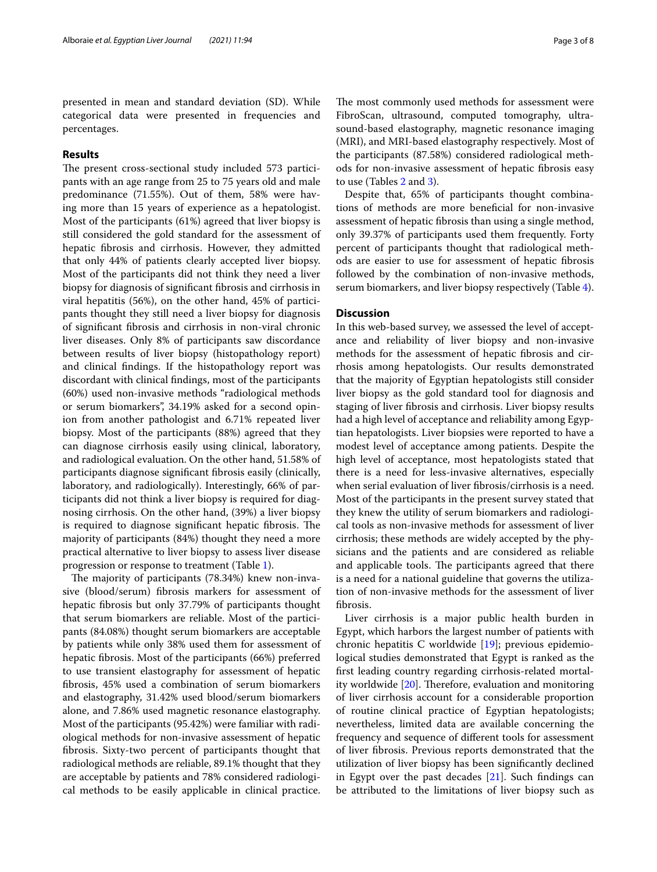presented in mean and standard deviation (SD). While categorical data were presented in frequencies and percentages.

## **Results**

The present cross-sectional study included 573 participants with an age range from 25 to 75 years old and male predominance (71.55%). Out of them, 58% were having more than 15 years of experience as a hepatologist. Most of the participants (61%) agreed that liver biopsy is still considered the gold standard for the assessment of hepatic fbrosis and cirrhosis. However, they admitted that only 44% of patients clearly accepted liver biopsy. Most of the participants did not think they need a liver biopsy for diagnosis of signifcant fbrosis and cirrhosis in viral hepatitis (56%), on the other hand, 45% of participants thought they still need a liver biopsy for diagnosis of signifcant fbrosis and cirrhosis in non-viral chronic liver diseases. Only 8% of participants saw discordance between results of liver biopsy (histopathology report) and clinical fndings. If the histopathology report was discordant with clinical fndings, most of the participants (60%) used non-invasive methods "radiological methods or serum biomarkers", 34.19% asked for a second opinion from another pathologist and 6.71% repeated liver biopsy. Most of the participants (88%) agreed that they can diagnose cirrhosis easily using clinical, laboratory, and radiological evaluation. On the other hand, 51.58% of participants diagnose signifcant fbrosis easily (clinically, laboratory, and radiologically). Interestingly, 66% of participants did not think a liver biopsy is required for diagnosing cirrhosis. On the other hand, (39%) a liver biopsy is required to diagnose significant hepatic fibrosis. The majority of participants (84%) thought they need a more practical alternative to liver biopsy to assess liver disease progression or response to treatment (Table [1](#page-3-0)).

The majority of participants (78.34%) knew non-invasive (blood/serum) fbrosis markers for assessment of hepatic fbrosis but only 37.79% of participants thought that serum biomarkers are reliable. Most of the participants (84.08%) thought serum biomarkers are acceptable by patients while only 38% used them for assessment of hepatic fbrosis. Most of the participants (66%) preferred to use transient elastography for assessment of hepatic fbrosis, 45% used a combination of serum biomarkers and elastography, 31.42% used blood/serum biomarkers alone, and 7.86% used magnetic resonance elastography. Most of the participants (95.42%) were familiar with radiological methods for non-invasive assessment of hepatic fbrosis. Sixty-two percent of participants thought that radiological methods are reliable, 89.1% thought that they are acceptable by patients and 78% considered radiological methods to be easily applicable in clinical practice.

The most commonly used methods for assessment were FibroScan, ultrasound, computed tomography, ultrasound-based elastography, magnetic resonance imaging (MRI), and MRI-based elastography respectively. Most of the participants (87.58%) considered radiological methods for non-invasive assessment of hepatic fbrosis easy to use (Tables [2](#page-4-0) and [3\)](#page-5-0).

Despite that, 65% of participants thought combinations of methods are more benefcial for non-invasive assessment of hepatic fbrosis than using a single method, only 39.37% of participants used them frequently. Forty percent of participants thought that radiological methods are easier to use for assessment of hepatic fbrosis followed by the combination of non-invasive methods, serum biomarkers, and liver biopsy respectively (Table [4](#page-6-0)).

## **Discussion**

In this web-based survey, we assessed the level of acceptance and reliability of liver biopsy and non-invasive methods for the assessment of hepatic fbrosis and cirrhosis among hepatologists. Our results demonstrated that the majority of Egyptian hepatologists still consider liver biopsy as the gold standard tool for diagnosis and staging of liver fbrosis and cirrhosis. Liver biopsy results had a high level of acceptance and reliability among Egyptian hepatologists. Liver biopsies were reported to have a modest level of acceptance among patients. Despite the high level of acceptance, most hepatologists stated that there is a need for less-invasive alternatives, especially when serial evaluation of liver fbrosis/cirrhosis is a need. Most of the participants in the present survey stated that they knew the utility of serum biomarkers and radiological tools as non-invasive methods for assessment of liver cirrhosis; these methods are widely accepted by the physicians and the patients and are considered as reliable and applicable tools. The participants agreed that there is a need for a national guideline that governs the utilization of non-invasive methods for the assessment of liver fbrosis.

Liver cirrhosis is a major public health burden in Egypt, which harbors the largest number of patients with chronic hepatitis C worldwide [[19\]](#page-7-17); previous epidemiological studies demonstrated that Egypt is ranked as the frst leading country regarding cirrhosis-related mortality worldwide  $[20]$  $[20]$  $[20]$ . Therefore, evaluation and monitoring of liver cirrhosis account for a considerable proportion of routine clinical practice of Egyptian hepatologists; nevertheless, limited data are available concerning the frequency and sequence of diferent tools for assessment of liver fbrosis. Previous reports demonstrated that the utilization of liver biopsy has been signifcantly declined in Egypt over the past decades [[21\]](#page-7-19). Such fndings can be attributed to the limitations of liver biopsy such as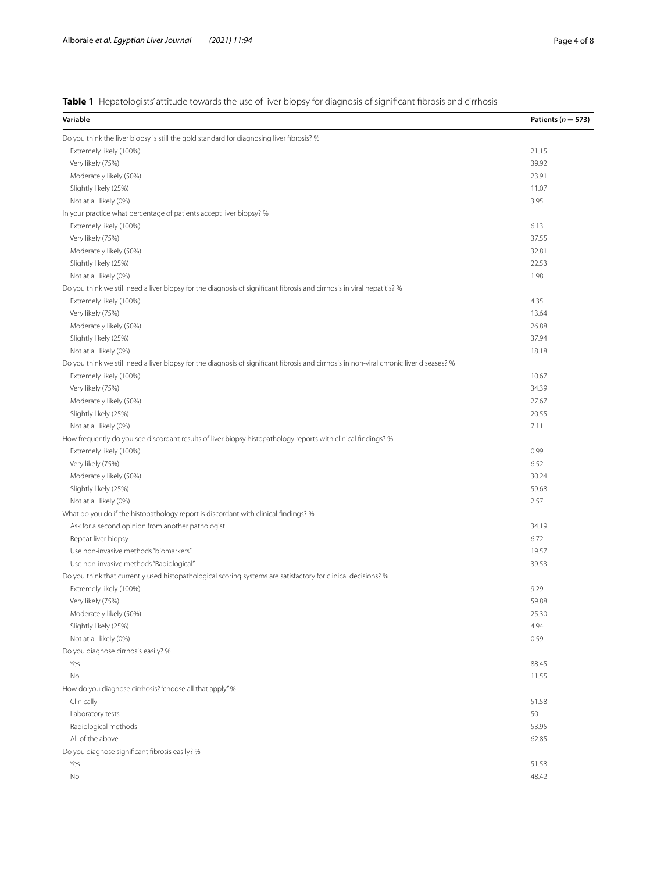<span id="page-3-0"></span>

| Table 1 Hepatologists' attitude towards the use of liver biopsy for diagnosis of significant fibrosis and cirrhosis |  |  |
|---------------------------------------------------------------------------------------------------------------------|--|--|
|---------------------------------------------------------------------------------------------------------------------|--|--|

| Variable                                                                                                                                 | Patients ( $n = 573$ ) |
|------------------------------------------------------------------------------------------------------------------------------------------|------------------------|
| Do you think the liver biopsy is still the gold standard for diagnosing liver fibrosis? %                                                |                        |
| Extremely likely (100%)                                                                                                                  | 21.15                  |
| Very likely (75%)                                                                                                                        | 39.92                  |
| Moderately likely (50%)                                                                                                                  | 23.91                  |
| Slightly likely (25%)                                                                                                                    | 11.07                  |
| Not at all likely (0%)                                                                                                                   | 3.95                   |
| In your practice what percentage of patients accept liver biopsy? %                                                                      |                        |
| Extremely likely (100%)                                                                                                                  | 6.13                   |
| Very likely (75%)                                                                                                                        | 37.55                  |
| Moderately likely (50%)                                                                                                                  | 32.81                  |
| Slightly likely (25%)                                                                                                                    | 22.53                  |
| Not at all likely (0%)                                                                                                                   | 1.98                   |
| Do you think we still need a liver biopsy for the diagnosis of significant fibrosis and cirrhosis in viral hepatitis? %                  |                        |
| Extremely likely (100%)                                                                                                                  | 4.35                   |
| Very likely (75%)                                                                                                                        | 13.64                  |
| Moderately likely (50%)                                                                                                                  | 26.88                  |
| Slightly likely (25%)                                                                                                                    | 37.94                  |
| Not at all likely (0%)                                                                                                                   | 18.18                  |
| Do you think we still need a liver biopsy for the diagnosis of significant fibrosis and cirrhosis in non-viral chronic liver diseases? % |                        |
| Extremely likely (100%)                                                                                                                  | 10.67                  |
| Very likely (75%)                                                                                                                        | 34.39                  |
| Moderately likely (50%)                                                                                                                  | 27.67                  |
| Slightly likely (25%)                                                                                                                    | 20.55                  |
| Not at all likely (0%)                                                                                                                   | 7.11                   |
| How frequently do you see discordant results of liver biopsy histopathology reports with clinical findings? %                            |                        |
| Extremely likely (100%)                                                                                                                  | 0.99                   |
| Very likely (75%)                                                                                                                        | 6.52                   |
| Moderately likely (50%)                                                                                                                  | 30.24                  |
| Slightly likely (25%)                                                                                                                    | 59.68                  |
| Not at all likely (0%)                                                                                                                   | 2.57                   |
| What do you do if the histopathology report is discordant with clinical findings? %                                                      |                        |
| Ask for a second opinion from another pathologist                                                                                        | 34.19                  |
| Repeat liver biopsy                                                                                                                      | 6.72                   |
| Use non-invasive methods "biomarkers"                                                                                                    | 19.57                  |
| Use non-invasive methods "Radiological"                                                                                                  | 39.53                  |
| Do you think that currently used histopathological scoring systems are satisfactory for clinical decisions? %                            |                        |
| Extremely likely (100%)                                                                                                                  | 9.29                   |
| Very likely (75%)                                                                                                                        | 59.88                  |
| Moderately likely (50%)                                                                                                                  | 25.30                  |
| Slightly likely (25%)                                                                                                                    | 4.94                   |
| Not at all likely (0%)                                                                                                                   | 0.59                   |
| Do you diagnose cirrhosis easily? %                                                                                                      |                        |
| Yes                                                                                                                                      | 88.45                  |
| No                                                                                                                                       | 11.55                  |
| How do you diagnose cirrhosis? "choose all that apply" %                                                                                 |                        |
| Clinically                                                                                                                               | 51.58                  |
| Laboratory tests                                                                                                                         | 50                     |
| Radiological methods                                                                                                                     | 53.95                  |
| All of the above                                                                                                                         | 62.85                  |
| Do you diagnose significant fibrosis easily? %                                                                                           |                        |
| Yes                                                                                                                                      | 51.58                  |
| No                                                                                                                                       | 48.42                  |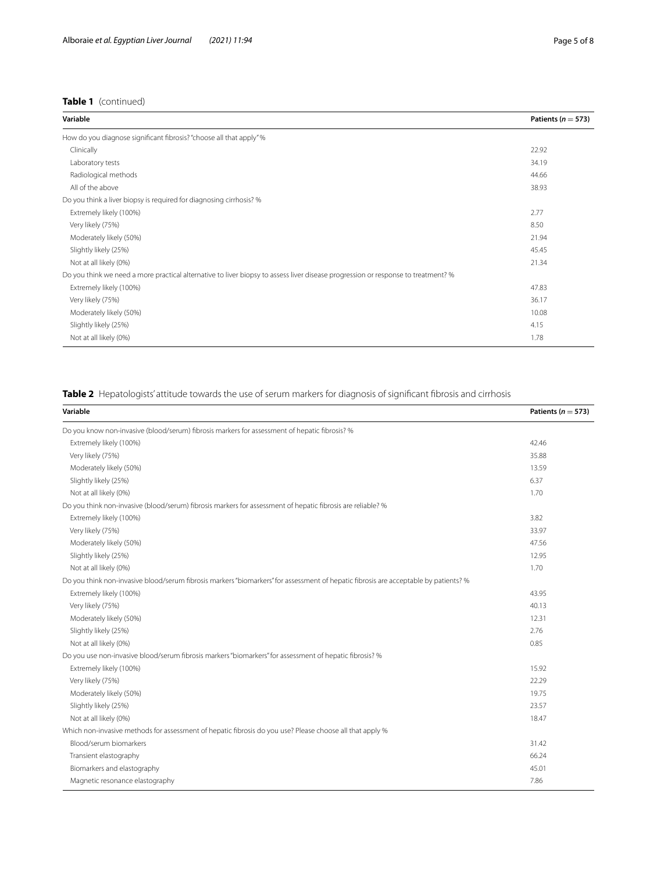## **Table 1** (continued)

| Variable                                                                                                                          | Patients ( $n = 573$ ) |
|-----------------------------------------------------------------------------------------------------------------------------------|------------------------|
| How do you diagnose significant fibrosis? "choose all that apply" %                                                               |                        |
| Clinically                                                                                                                        | 22.92                  |
| Laboratory tests                                                                                                                  | 34.19                  |
| Radiological methods                                                                                                              | 44.66                  |
| All of the above                                                                                                                  | 38.93                  |
| Do you think a liver biopsy is required for diagnosing cirrhosis? %                                                               |                        |
| Extremely likely (100%)                                                                                                           | 2.77                   |
| Very likely (75%)                                                                                                                 | 8.50                   |
| Moderately likely (50%)                                                                                                           | 21.94                  |
| Slightly likely (25%)                                                                                                             | 45.45                  |
| Not at all likely (0%)                                                                                                            | 21.34                  |
| Do you think we need a more practical alternative to liver biopsy to assess liver disease progression or response to treatment? % |                        |
| Extremely likely (100%)                                                                                                           | 47.83                  |
| Very likely (75%)                                                                                                                 | 36.17                  |
| Moderately likely (50%)                                                                                                           | 10.08                  |
| Slightly likely (25%)                                                                                                             | 4.15                   |
| Not at all likely (0%)                                                                                                            | 1.78                   |

# <span id="page-4-0"></span>**Table 2** Hepatologists' attitude towards the use of serum markers for diagnosis of significant fibrosis and cirrhosis

| Variable                                                                                                                             | Patients ( $n = 573$ ) |
|--------------------------------------------------------------------------------------------------------------------------------------|------------------------|
| Do you know non-invasive (blood/serum) fibrosis markers for assessment of hepatic fibrosis? %                                        |                        |
| Extremely likely (100%)                                                                                                              | 42.46                  |
| Very likely (75%)                                                                                                                    | 35.88                  |
| Moderately likely (50%)                                                                                                              | 13.59                  |
| Slightly likely (25%)                                                                                                                | 6.37                   |
| Not at all likely (0%)                                                                                                               | 1.70                   |
| Do you think non-invasive (blood/serum) fibrosis markers for assessment of hepatic fibrosis are reliable? %                          |                        |
| Extremely likely (100%)                                                                                                              | 3.82                   |
| Very likely (75%)                                                                                                                    | 33.97                  |
| Moderately likely (50%)                                                                                                              | 47.56                  |
| Slightly likely (25%)                                                                                                                | 12.95                  |
| Not at all likely (0%)                                                                                                               | 1.70                   |
| Do you think non-invasive blood/serum fibrosis markers "biomarkers" for assessment of hepatic fibrosis are acceptable by patients? % |                        |
| Extremely likely (100%)                                                                                                              | 43.95                  |
| Very likely (75%)                                                                                                                    | 40.13                  |
| Moderately likely (50%)                                                                                                              | 12.31                  |
| Slightly likely (25%)                                                                                                                | 2.76                   |
| Not at all likely (0%)                                                                                                               | 0.85                   |
| Do you use non-invasive blood/serum fibrosis markers "biomarkers" for assessment of hepatic fibrosis? %                              |                        |
| Extremely likely (100%)                                                                                                              | 15.92                  |
| Very likely (75%)                                                                                                                    | 22.29                  |
| Moderately likely (50%)                                                                                                              | 19.75                  |
| Slightly likely (25%)                                                                                                                | 23.57                  |
| Not at all likely (0%)                                                                                                               | 18.47                  |
| Which non-invasive methods for assessment of hepatic fibrosis do you use? Please choose all that apply %                             |                        |
| Blood/serum biomarkers                                                                                                               | 31.42                  |
| Transient elastography                                                                                                               | 66.24                  |
| Biomarkers and elastography                                                                                                          | 45.01                  |
| Magnetic resonance elastography                                                                                                      | 7.86                   |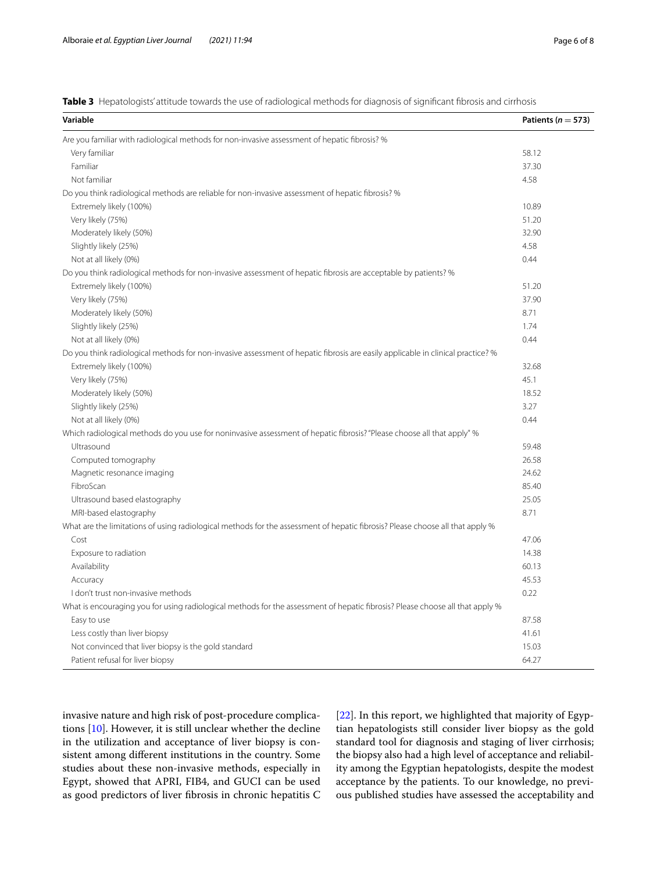<span id="page-5-0"></span>

|  | Table 3 Hepatologists' attitude towards the use of radiological methods for diagnosis of significant fibrosis and cirrhosis |  |  |  |
|--|-----------------------------------------------------------------------------------------------------------------------------|--|--|--|
|  |                                                                                                                             |  |  |  |

| Variable                                                                                                                        | Patients ( $n = 573$ ) |
|---------------------------------------------------------------------------------------------------------------------------------|------------------------|
| Are you familiar with radiological methods for non-invasive assessment of hepatic fibrosis? %                                   |                        |
| Very familiar                                                                                                                   | 58.12                  |
| Familiar                                                                                                                        | 37.30                  |
| Not familiar                                                                                                                    | 4.58                   |
| Do you think radiological methods are reliable for non-invasive assessment of hepatic fibrosis? %                               |                        |
| Extremely likely (100%)                                                                                                         | 10.89                  |
| Very likely (75%)                                                                                                               | 51.20                  |
| Moderately likely (50%)                                                                                                         | 32.90                  |
| Slightly likely (25%)                                                                                                           | 4.58                   |
| Not at all likely (0%)                                                                                                          | 0.44                   |
| Do you think radiological methods for non-invasive assessment of hepatic fibrosis are acceptable by patients? %                 |                        |
| Extremely likely (100%)                                                                                                         | 51.20                  |
| Very likely (75%)                                                                                                               | 37.90                  |
| Moderately likely (50%)                                                                                                         | 8.71                   |
| Slightly likely (25%)                                                                                                           | 1.74                   |
| Not at all likely (0%)                                                                                                          | 0.44                   |
| Do you think radiological methods for non-invasive assessment of hepatic fibrosis are easily applicable in clinical practice? % |                        |
| Extremely likely (100%)                                                                                                         | 32.68                  |
| Very likely (75%)                                                                                                               | 45.1                   |
| Moderately likely (50%)                                                                                                         | 18.52                  |
| Slightly likely (25%)                                                                                                           | 3.27                   |
| Not at all likely (0%)                                                                                                          | 0.44                   |
| Which radiological methods do you use for noninvasive assessment of hepatic fibrosis? "Please choose all that apply" %          |                        |
| Ultrasound                                                                                                                      | 59.48                  |
| Computed tomography                                                                                                             | 26.58                  |
| Magnetic resonance imaging                                                                                                      | 24.62                  |
| FibroScan                                                                                                                       | 85.40                  |
| Ultrasound based elastography                                                                                                   | 25.05                  |
| MRI-based elastography                                                                                                          | 8.71                   |
| What are the limitations of using radiological methods for the assessment of hepatic fibrosis? Please choose all that apply %   |                        |
| Cost                                                                                                                            | 47.06                  |
| Exposure to radiation                                                                                                           | 14.38                  |
| Availability                                                                                                                    | 60.13                  |
| Accuracy                                                                                                                        | 45.53                  |
| I don't trust non-invasive methods                                                                                              | 0.22                   |
| What is encouraging you for using radiological methods for the assessment of hepatic fibrosis? Please choose all that apply %   |                        |
| Easy to use                                                                                                                     | 87.58                  |
| Less costly than liver biopsy                                                                                                   | 41.61                  |
| Not convinced that liver biopsy is the gold standard                                                                            | 15.03                  |
| Patient refusal for liver biopsy                                                                                                | 64.27                  |

invasive nature and high risk of post-procedure complications [[10\]](#page-7-8). However, it is still unclear whether the decline in the utilization and acceptance of liver biopsy is consistent among diferent institutions in the country. Some studies about these non-invasive methods, especially in Egypt, showed that APRI, FIB4, and GUCI can be used as good predictors of liver fbrosis in chronic hepatitis C [[22\]](#page-7-20). In this report, we highlighted that majority of Egyptian hepatologists still consider liver biopsy as the gold standard tool for diagnosis and staging of liver cirrhosis; the biopsy also had a high level of acceptance and reliability among the Egyptian hepatologists, despite the modest acceptance by the patients. To our knowledge, no previous published studies have assessed the acceptability and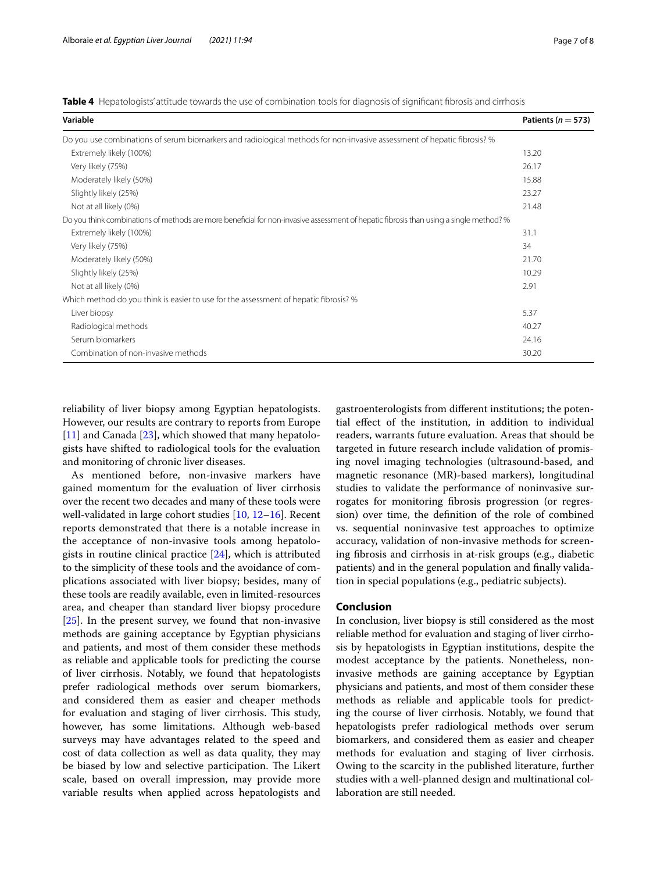<span id="page-6-0"></span>

|  | <b>Table 4</b> Hepatologists' attitude towards the use of combination tools for diagnosis of significant fibrosis and cirrhosis |  |  |  |  |
|--|---------------------------------------------------------------------------------------------------------------------------------|--|--|--|--|
|  |                                                                                                                                 |  |  |  |  |

| Variable                                                                                                                               | Patients ( $n = 573$ ) |  |  |  |  |
|----------------------------------------------------------------------------------------------------------------------------------------|------------------------|--|--|--|--|
| Do you use combinations of serum biomarkers and radiological methods for non-invasive assessment of hepatic fibrosis? %                |                        |  |  |  |  |
| Extremely likely (100%)                                                                                                                | 13.20                  |  |  |  |  |
| Very likely (75%)                                                                                                                      | 26.17                  |  |  |  |  |
| Moderately likely (50%)                                                                                                                | 15.88                  |  |  |  |  |
| Slightly likely (25%)                                                                                                                  | 23.27                  |  |  |  |  |
| Not at all likely (0%)                                                                                                                 | 21.48                  |  |  |  |  |
| Do you think combinations of methods are more beneficial for non-invasive assessment of hepatic fibrosis than using a single method? % |                        |  |  |  |  |
| Extremely likely (100%)                                                                                                                | 31.1                   |  |  |  |  |
| Very likely (75%)                                                                                                                      | 34                     |  |  |  |  |
| Moderately likely (50%)                                                                                                                | 21.70                  |  |  |  |  |
| Slightly likely (25%)                                                                                                                  | 10.29                  |  |  |  |  |
| Not at all likely (0%)                                                                                                                 | 2.91                   |  |  |  |  |
| Which method do you think is easier to use for the assessment of hepatic fibrosis? %                                                   |                        |  |  |  |  |
| Liver biopsy                                                                                                                           | 5.37                   |  |  |  |  |
| Radiological methods                                                                                                                   | 40.27                  |  |  |  |  |
| Serum biomarkers                                                                                                                       | 24.16                  |  |  |  |  |
| Combination of non-invasive methods                                                                                                    | 30.20                  |  |  |  |  |

reliability of liver biopsy among Egyptian hepatologists. However, our results are contrary to reports from Europe [[11\]](#page-7-9) and Canada [\[23](#page-7-21)], which showed that many hepatologists have shifted to radiological tools for the evaluation and monitoring of chronic liver diseases.

As mentioned before, non-invasive markers have gained momentum for the evaluation of liver cirrhosis over the recent two decades and many of these tools were well-validated in large cohort studies [\[10,](#page-7-8) [12–](#page-7-10)[16](#page-7-14)]. Recent reports demonstrated that there is a notable increase in the acceptance of non-invasive tools among hepatologists in routine clinical practice  $[24]$  $[24]$ , which is attributed to the simplicity of these tools and the avoidance of complications associated with liver biopsy; besides, many of these tools are readily available, even in limited-resources area, and cheaper than standard liver biopsy procedure [[25\]](#page-7-23). In the present survey, we found that non-invasive methods are gaining acceptance by Egyptian physicians and patients, and most of them consider these methods as reliable and applicable tools for predicting the course of liver cirrhosis. Notably, we found that hepatologists prefer radiological methods over serum biomarkers, and considered them as easier and cheaper methods for evaluation and staging of liver cirrhosis. This study, however, has some limitations. Although web-based surveys may have advantages related to the speed and cost of data collection as well as data quality, they may be biased by low and selective participation. The Likert scale, based on overall impression, may provide more variable results when applied across hepatologists and gastroenterologists from diferent institutions; the potential efect of the institution, in addition to individual readers, warrants future evaluation. Areas that should be targeted in future research include validation of promising novel imaging technologies (ultrasound-based, and magnetic resonance (MR)-based markers), longitudinal studies to validate the performance of noninvasive surrogates for monitoring fbrosis progression (or regression) over time, the defnition of the role of combined vs. sequential noninvasive test approaches to optimize accuracy, validation of non-invasive methods for screening fbrosis and cirrhosis in at-risk groups (e.g., diabetic patients) and in the general population and fnally validation in special populations (e.g., pediatric subjects).

## **Conclusion**

In conclusion, liver biopsy is still considered as the most reliable method for evaluation and staging of liver cirrhosis by hepatologists in Egyptian institutions, despite the modest acceptance by the patients. Nonetheless, noninvasive methods are gaining acceptance by Egyptian physicians and patients, and most of them consider these methods as reliable and applicable tools for predicting the course of liver cirrhosis. Notably, we found that hepatologists prefer radiological methods over serum biomarkers, and considered them as easier and cheaper methods for evaluation and staging of liver cirrhosis. Owing to the scarcity in the published literature, further studies with a well-planned design and multinational collaboration are still needed.